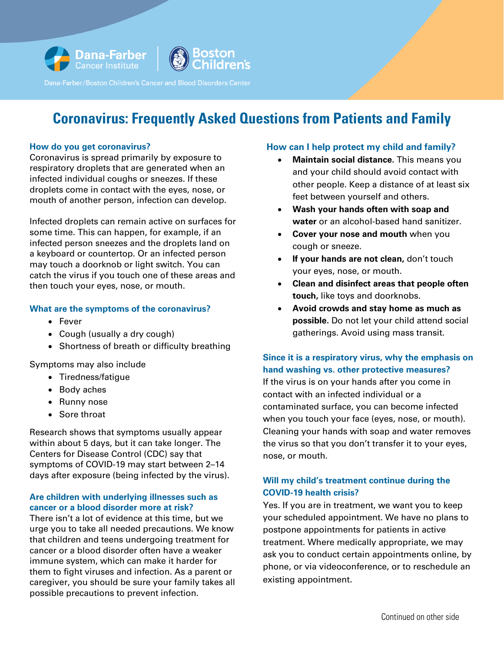

# **Coronavirus: Frequently Asked Questions from Patients and Family**

#### **How do you get coronavirus?**

Coronavirus is spread primarily by exposure to respiratory droplets that are generated when an infected individual coughs or sneezes. If these droplets come in contact with the eyes, nose, or mouth of another person, infection can develop.

Infected droplets can remain active on surfaces for some time. This can happen, for example, if an infected person sneezes and the droplets land on a keyboard or countertop. Or an infected person may touch a doorknob or light switch. You can catch the virus if you touch one of these areas and then touch your eyes, nose, or mouth.

#### **What are the symptoms of the coronavirus?**

- Fever
- Cough (usually a dry cough)
- Shortness of breath or difficulty breathing

Symptoms may also include

- Tiredness/fatigue
- Body aches
- Runny nose
- Sore throat

Research shows that symptoms usually appear within about 5 days, but it can take longer. The Centers for Disease Control (CDC) say that symptoms of COVID-19 may start between 2–14 days after exposure (being infected by the virus).

## **Are children with underlying illnesses such as cancer or a blood disorder more at risk?**

There isn't a lot of evidence at this time, but we urge you to take all needed precautions. We know that children and teens undergoing treatment for cancer or a blood disorder often have a weaker immune system, which can make it harder for them to fight viruses and infection. As a parent or caregiver, you should be sure your family takes all possible precautions to prevent infection.

# **How can I help protect my child and family?**

- **Maintain social distance.** This means you and your child should avoid contact with other people. Keep a distance of at least six feet between yourself and others.
- **Wash your hands often with soap and water** or an alcohol-based hand sanitizer.
- **Cover your nose and mouth** when you cough or sneeze.
- **If your hands are not clean,** don't touch your eyes, nose, or mouth.
- **Clean and disinfect areas that people often touch,** like toys and doorknobs.
- **Avoid crowds and stay home as much as possible.** Do not let your child attend social gatherings. Avoid using mass transit.

# **Since it is a respiratory virus, why the emphasis on hand washing vs. other protective measures?**

If the virus is on your hands after you come in contact with an infected individual or a contaminated surface, you can become infected when you touch your face (eyes, nose, or mouth). Cleaning your hands with soap and water removes the virus so that you don't transfer it to your eyes, nose, or mouth.

# **Will my child's treatment continue during the COVID-19 health crisis?**

Yes. If you are in treatment, we want you to keep your scheduled appointment. We have no plans to postpone appointments for patients in active treatment. Where medically appropriate, we may ask you to conduct certain appointments online, by phone, or via videoconference, or to reschedule an existing appointment.